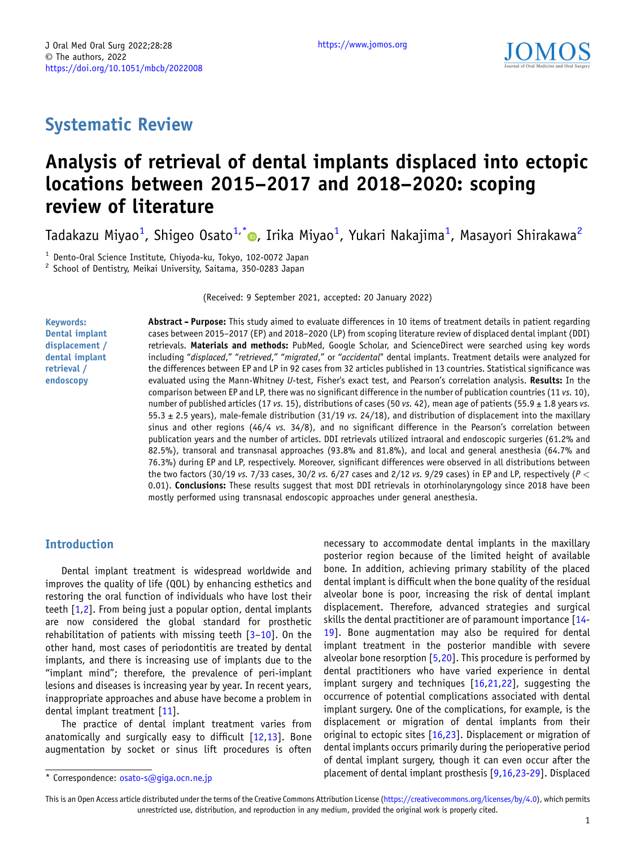## Systematic Review

# Analysis of retrieval of dental implants displaced into ectopic locations between 2015–2017 and 2018–2020: scoping review of literature

Tadakazu Miyao<sup>1</sup>[,](https://orcid.org/0000-0002-7724-8579) Shigeo Osato<sup>1,\*</sup>®, Irika Miyao<sup>1</sup>, Yukari Nakajima<sup>1</sup>, Masayori Shirakawa<sup>2</sup>

<sup>1</sup> Dento-Oral Science Institute, Chiyoda-ku, Tokyo, 102-0072 Japan <sup>2</sup> School of Dentistry, Meikai University, Saitama, 350-0283 Japan

(Received: 9 September 2021, accepted: 20 January 2022)

Keywords: Dental implant displacement / dental implant retrieval / endoscopy

Abstract - Purpose: This study aimed to evaluate differences in 10 items of treatment details in patient regarding cases between 2015–2017 (EP) and 2018–2020 (LP) from scoping literature review of displaced dental implant (DDI) retrievals. Materials and methods: PubMed, Google Scholar, and ScienceDirect were searched using key words including "displaced," "retrieved," "migrated," or "accidental" dental implants. Treatment details were analyzed for the differences between EP and LP in 92 cases from 32 articles published in 13 countries. Statistical significance was evaluated using the Mann-Whitney U-test, Fisher's exact test, and Pearson's correlation analysis. Results: In the comparison between EP and LP, there was no significant difference in the number of publication countries (11 vs. 10), number of published articles (17 vs. 15), distributions of cases (50 vs. 42), mean age of patients (55.9  $\pm$  1.8 years vs. 55.3  $\pm$  2.5 years), male-female distribution (31/19 vs. 24/18), and distribution of displacement into the maxillary sinus and other regions (46/4 vs. 34/8), and no significant difference in the Pearson's correlation between publication years and the number of articles. DDI retrievals utilized intraoral and endoscopic surgeries (61.2% and 82.5%), transoral and transnasal approaches (93.8% and 81.8%), and local and general anesthesia (64.7% and 76.3%) during EP and LP, respectively. Moreover, significant differences were observed in all distributions between the two factors (30/19 vs. 7/33 cases, 30/2 vs. 6/27 cases and 2/12 vs. 9/29 cases) in EP and LP, respectively ( $P <$ 0.01). Conclusions: These results suggest that most DDI retrievals in otorhinolaryngology since 2018 have been mostly performed using transnasal endoscopic approaches under general anesthesia.

## Introduction

Dental implant treatment is widespread worldwide and improves the quality of life (QOL) by enhancing esthetics and restoring the oral function of individuals who have lost their teeth [\[1,2](#page-8-0)]. From being just a popular option, dental implants are now considered the global standard for prosthetic rehabilitation of patients with missing teeth [\[3](#page-8-0)–[10](#page-8-0)]. On the other hand, most cases of periodontitis are treated by dental implants, and there is increasing use of implants due to the "implant mind"; therefore, the prevalence of peri-implant lesions and diseases is increasing year by year. In recent years, inappropriate approaches and abuse have become a problem in dental implant treatment [[11\]](#page-8-0).

The practice of dental implant treatment varies from anatomically and surgically easy to difficult [\[12,13](#page-8-0)]. Bone augmentation by socket or sinus lift procedures is often

necessary to accommodate dental implants in the maxillary posterior region because of the limited height of available bone. In addition, achieving primary stability of the placed dental implant is difficult when the bone quality of the residual alveolar bone is poor, increasing the risk of dental implant displacement. Therefore, advanced strategies and surgical skills the dental practitioner are of paramount importance [\[14](#page-8-0)- [19](#page-8-0)]. Bone augmentation may also be required for dental implant treatment in the posterior mandible with severe alveolar bone resorption [\[5,20](#page-8-0)]. This procedure is performed by dental practitioners who have varied experience in dental implant surgery and techniques [\[16,21,](#page-8-0)[22\]](#page-9-0), suggesting the occurrence of potential complications associated with dental implant surgery. One of the complications, for example, is the displacement or migration of dental implants from their original to ectopic sites [[16](#page-8-0)[,23](#page-9-0)]. Displacement or migration of dental implants occurs primarily during the perioperative period of dental implant surgery, though it can even occur after the \* Correspondence: [osato-s@giga.ocn.ne.jp](mailto:osato-s@giga.ocn.ne.jp) <br>\* Correspondence: osato-s@giga.ocn.ne.jp

This is an Open Access article distributed under the terms of the Creative Commons Attribution License [\(https://creativecommons.org/licenses/by/4.0\)](https://creativecommons.org/licenses/by/4.0), which permits unrestricted use, distribution, and reproduction in any medium, provided the original work is properly cited.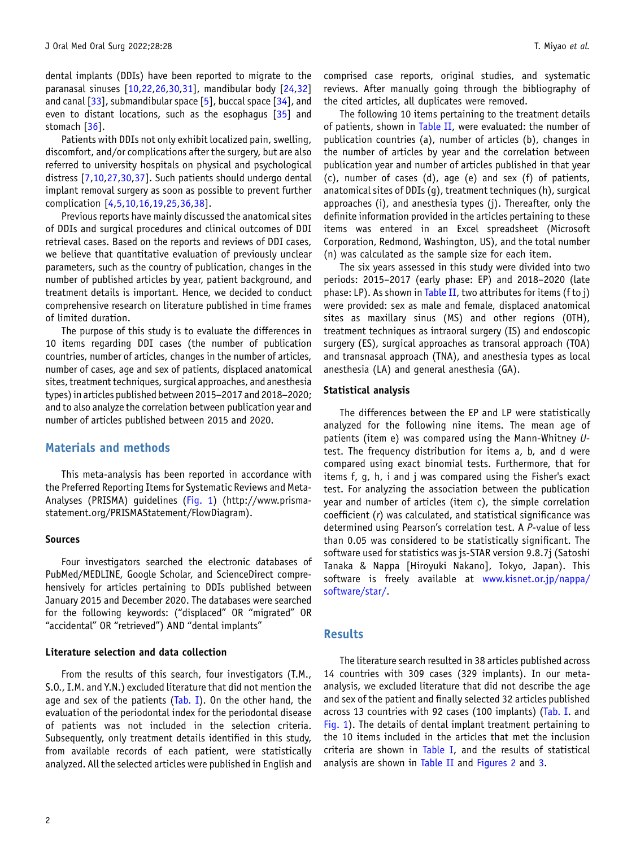dental implants (DDIs) have been reported to migrate to the paranasal sinuses [\[10,](#page-8-0)[22,26,30,31\]](#page-9-0), mandibular body [[24,32](#page-9-0)] and canal  $[33]$  $[33]$ , submandibular space  $[5]$ , buccal space  $[34]$ , and even to distant locations, such as the esophagus [\[35\]](#page-9-0) and stomach [\[36\]](#page-9-0).

Patients with DDIs not only exhibit localized pain, swelling, discomfort, and/or complications after the surgery, but are also referred to university hospitals on physical and psychological distress [\[7,10](#page-8-0)[,27,30,37](#page-9-0)]. Such patients should undergo dental implant removal surgery as soon as possible to prevent further complication [\[4,5,10,16,19](#page-8-0),[25,36,38\]](#page-9-0).

Previous reports have mainly discussed the anatomical sites of DDIs and surgical procedures and clinical outcomes of DDI retrieval cases. Based on the reports and reviews of DDI cases, we believe that quantitative evaluation of previously unclear parameters, such as the country of publication, changes in the number of published articles by year, patient background, and treatment details is important. Hence, we decided to conduct comprehensive research on literature published in time frames of limited duration.

The purpose of this study is to evaluate the differences in 10 items regarding DDI cases (the number of publication countries, number of articles, changes in the number of articles, number of cases, age and sex of patients, displaced anatomical sites, treatment techniques, surgical approaches, and anesthesia tountries, number or articles, changes in the number or articles,<br>number of cases, age and sex of patients, displaced anatomical<br>sites, treatment techniques, surgical approaches, and anesthesia<br>types) in articles publishe and to also analyze the correlation between publication year and number of articles published between 2015 and 2020.

## Materials and methods

This meta-analysis has been reported in accordance with the Preferred Reporting Items for Systematic Reviews and Meta-Analyses (PRISMA) guidelines ([Fig. 1\)](#page-2-0) (http://www.prismastatement.org/PRISMAStatement/FlowDiagram).

#### Sources

Four investigators searched the electronic databases of PubMed/MEDLINE, Google Scholar, and ScienceDirect comprehensively for articles pertaining to DDIs published between January 2015 and December 2020. The databases were searched for the following keywords: ("displaced" OR "migrated" OR "accidental" OR "retrieved") AND "dental implants"

#### Literature selection and data collection

From the results of this search, four investigators (T.M., S.O., I.M. and Y.N.) excluded literature that did not mention the age and sex of the patients  $(Tab. I)$ . On the other hand, the evaluation of the periodontal index for the periodontal disease of patients was not included in the selection criteria. Subsequently, only treatment details identified in this study, from available records of each patient, were statistically analyzed. All the selected articles were published in English and

comprised case reports, original studies, and systematic reviews. After manually going through the bibliography of the cited articles, all duplicates were removed.

The following 10 items pertaining to the treatment details of patients, shown in [Table II](#page-6-0), were evaluated: the number of publication countries (a), number of articles (b), changes in the number of articles by year and the correlation between publication year and number of articles published in that year (c), number of cases (d), age (e) and sex (f) of patients, anatomical sites of DDIs (g), treatment techniques (h), surgical approaches (i), and anesthesia types (j). Thereafter, only the definite information provided in the articles pertaining to these items was entered in an Excel spreadsheet (Microsoft Corporation, Redmond, Washington, US), and the total number (n) was calculated as the sample size for each item.

The six years assessed in this study were divided into two periods: 2015–2017 (early phase: EP) and 2018–2020 (late phase: LP). As shown in [Table II,](#page-6-0) two attributes for items (f to j) were provided: sex as male and female, displaced anatomical sites as maxillary sinus (MS) and other regions (OTH), treatment techniques as intraoral surgery (IS) and endoscopic surgery (ES), surgical approaches as transoral approach (TOA) and transnasal approach (TNA), and anesthesia types as local anesthesia (LA) and general anesthesia (GA).

#### Statistical analysis

The differences between the EP and LP were statistically analyzed for the following nine items. The mean age of patients (item e) was compared using the Mann-Whitney Utest. The frequency distribution for items a, b, and d were compared using exact binomial tests. Furthermore, that for items f, g, h, i and j was compared using the Fisher's exact test. For analyzing the association between the publication year and number of articles (item c), the simple correlation coefficient (r) was calculated, and statistical significance was determined using Pearson's correlation test. A P-value of less than 0.05 was considered to be statistically significant. The software used for statistics was js-STAR version 9.8.7j (Satoshi Tanaka & Nappa [Hiroyuki Nakano], Tokyo, Japan). This software is freely available at [www.kisnet.or.jp/nappa/](http://www.kisnet.or.jp/nappa/software/star/) [software/star/](http://www.kisnet.or.jp/nappa/software/star/).

#### Results

The literature search resulted in 38 articles published across 14 countries with 309 cases (329 implants). In our metaanalysis, we excluded literature that did not describe the age and sex of the patient and finally selected 32 articles published across 13 countries with 92 cases (100 implants) [\(Tab. I](#page-3-0). and [Fig. 1](#page-2-0)). The details of dental implant treatment pertaining to the 10 items included in the articles that met the inclusion criteria are shown in [Table I,](#page-3-0) and the results of statistical analysis are shown in [Table II](#page-6-0) and [Figures 2](#page-5-0) and [3.](#page-5-0)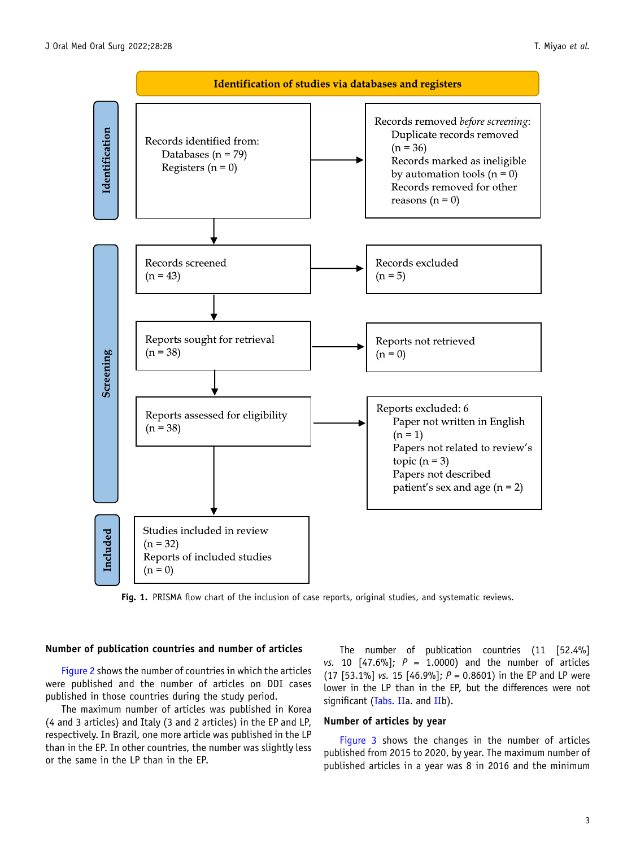<span id="page-2-0"></span>

Fig. 1. PRISMA flow chart of the inclusion of case reports, original studies, and systematic reviews.

## Number of publication countries and number of articles

[Figure 2](#page-5-0) shows the number of countries in which the articles were published and the number of articles on DDI cases published in those countries during the study period.

The maximum number of articles was published in Korea (4 and 3 articles) and Italy (3 and 2 articles) in the EP and LP, respectively. In Brazil, one more article was published in the LP than in the EP. In other countries, the number was slightly less or the same in the LP than in the EP.

The number of publication countries (11 [52.4%] vs. 10  $[47.6\%]$ ;  $P = 1.0000$ ) and the number of articles (17 [53.1%] vs. 15 [46.9%];  $P = 0.8601$ ) in the EP and LP were lower in the LP than in the EP, but the differences were not significant [\(Tabs. IIa](#page-6-0). and [IIb](#page-6-0)).

## Number of articles by year

[Figure 3](#page-5-0) shows the changes in the number of articles published from 2015 to 2020, by year. The maximum number of published articles in a year was 8 in 2016 and the minimum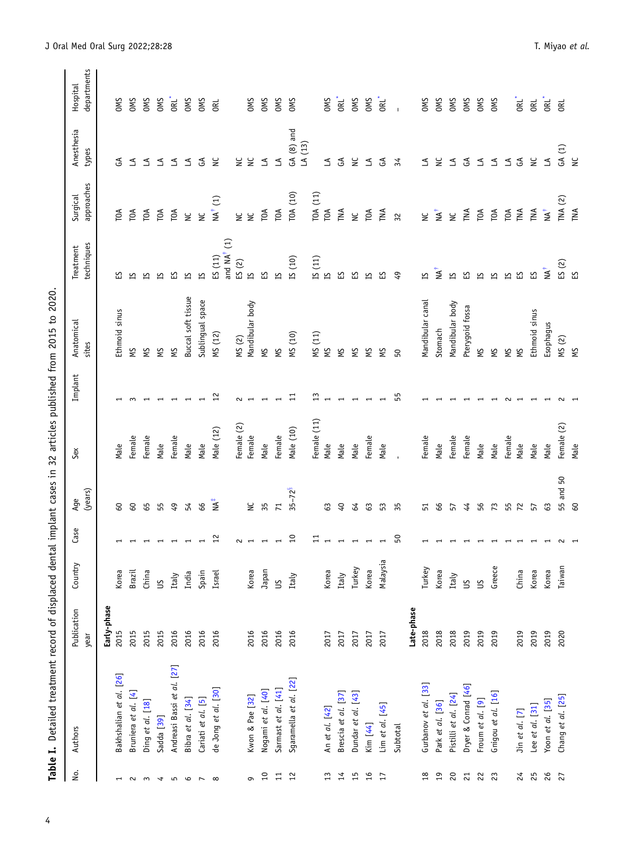| $\frac{1}{1}$<br>l                            |
|-----------------------------------------------|
| )<br>)<br>                                    |
| $\vdots$<br>I                                 |
| )<br>;<br>;<br>$\frac{1}{2}$                  |
| ֧֚֚֚֚֚֚֚֚֚֚֚֚֡֡֡֡֡֡֡֡֡֡֡֡֡֡֡֡֡֡֬֝֬<br>.<br>קי |
| ו<br>י<br>í                                   |
| )<br>)<br>)<br>)                              |
|                                               |
| $\vdots$                                      |
| ١                                             |
| ١                                             |
|                                               |
| :<br>י                                        |
|                                               |
|                                               |
| able I.                                       |

<span id="page-3-0"></span>

| ρò.                      | Authors                    | Publication<br>year | Country  | Case            | (years)<br>Age  | Sex         | Implant | Anatomical<br>sites | techniques<br>Treatment | approaches<br>Surgical | Anesthesia<br>types    | departments<br>Hospital |
|--------------------------|----------------------------|---------------------|----------|-----------------|-----------------|-------------|---------|---------------------|-------------------------|------------------------|------------------------|-------------------------|
|                          |                            | Early-phase         |          |                 |                 |             |         |                     |                         |                        |                        |                         |
| $\overline{ }$           | Bakhshalian et al. [26]    | 2015                | Korea    |                 | 60              | Male        |         | Ethmoid sinus       | ပ္မ                     | $\epsilon$             | $\mathfrak{F}$         | <b>OMS</b>              |
| $\sim$                   | Bruniera et al. [4]        | 2015                | Brazil   |                 | <b>GO</b>       | Female      |         | ξŚ                  | ഗ                       | ТOА                    | ₹                      | <b>OMS</b>              |
| $\sim$                   | Ding et al. [18]           | 2015                | China    |                 | 65              | Female      |         | ξÅ                  | ഇ                       | ТОА                    | ₹                      | <b>OMS</b>              |
| $\overline{\phantom{a}}$ | Sadda [39]                 | 2015                | S        |                 | 55              | Male        |         | ξŚ                  | ഇ                       | TOA                    | ≤                      | <b>OMS</b>              |
| $\overline{5}$           | Andreasi Bassi et al. [27] | 2016                | Italy    |                 | 49              | Female      |         | ξÅ                  | ហ                       | TOA                    | ≤                      | <b>ORL</b>              |
| $\mathbf \circ$          | Bibra et al. [34]          | 2016                | India    |                 | 54              | Male        |         | Buccal soft tissue  | S                       | $\geq$                 | ≤                      | <b>OMS</b>              |
| $\overline{ }$           | Cariati et al. [5]         | 2016                | Spain    |                 | 66              | Male        |         | Sublingual space    | N                       | $\geq$                 | E                      | <b>OMS</b>              |
| $\infty$                 | de Jong et al. [30]        | 2016                | Israel   | 12              | <b>TA+</b>      | Male (12)   | 12      | MS (12)             | ES(11)                  | $NA^{\dagger}$ (1)     | $\geq$                 | <b>ORL</b>              |
|                          |                            |                     |          |                 |                 |             |         |                     | and $NA^{\dagger}$ (1)  |                        |                        |                         |
|                          |                            |                     |          | $\sim$ $\sim$   |                 | Female (2)  | 2       | MS(2)               | ES(2)                   | ں<br>ح                 | $\breve{\mathsf{z}}$   |                         |
| $\sigma$                 | Kwon & Pae [32]            | 2016                | Korea    |                 | $\geq$          | Female      |         | Mandibular body     | N                       | $\geq$                 | $\geq$                 | <b>OMS</b>              |
| 10                       | Nogami et al. [40]         | 2016                | Japan    |                 | 35              | Male        |         | χŅ                  | <u>ណ</u>                | TOA                    | ₹                      | <b>OMS</b>              |
| $\overline{11}$          | Sarmast et al. [41]        | 2016                | ട്ട      |                 | $\overline{71}$ | Female      |         | χŅ                  | $\overline{\Xi}$        | TOA                    | $\preceq$              | <b>OMS</b>              |
| 12                       | Sgaramella et al. [22]     | 2016                | Italy    | $\overline{10}$ | $35 - 72^{8}$   | Male (10)   | $\Xi$   | MS (10)             | IS (10)                 | TOA (10)               | $GA(8)$ and<br>LA (13) | <b>OMS</b>              |
|                          |                            |                     |          | $\Xi$           |                 | Female (11) | 13      | MS (11)             | IS(11)                  | TOA (11)               |                        |                         |
| 13                       | An et al. [42]             | 2017                | Korea    |                 | 63              | Male        |         | χŅ                  | N                       | TOA                    | $\preceq$              | <b>OMS</b>              |
| 14                       | Brescia et al. [37]        | 2017                | Italy    |                 | $\overline{6}$  | Male        |         | ξÅ                  | 53                      | TNA                    | $\mathfrak{F}$         | ORL <sup>*</sup>        |
| 15                       | Dundar et al. [43]         | 2017                | Turkey   |                 | 64              | Male        |         | ΥŚ                  | က္က                     | $\tilde{z}$            | $\geq$                 | <b>OMS</b>              |
| 16                       | Kim [44]                   | 2017                | Korea    |                 | 63              | Female      |         | ΣN                  | S                       | ΓOΑ                    | ≤                      | <b>OMS</b>              |
| $\overline{1}$           | Lim et al. $[45]$          | 2017                | Malaysia |                 | 53              | Male        |         | χŅ                  | <u>ហ</u>                | TNA                    | E                      | ORL <sup>*</sup>        |
|                          | Subtotal                   |                     |          | $50\,$          | 35              |             | 55      | 50                  | $\overline{6}$          | 32                     | 34                     |                         |
|                          |                            | Late-phase          |          |                 |                 |             |         |                     |                         |                        |                        |                         |
| $^{28}$                  | Gurbanov et al. [33]       | 2018                | Turkey   |                 | 51              | Female      |         | Mandibular canal    | 5                       | ں<br>ح                 | ≤                      | <b>OMS</b>              |
| 19                       | Park et al. [36]           | 2018                | Korea    |                 | 66              | Male        |         | Stomach             | $\mathbf{M}^{\dagger}$  | $\sum_{i=1}^{n}$       | ౾                      | <b>OMS</b>              |
| $\overline{c}$           | Pistilli et al. [24]       | 2018                | Italy    |                 | 57              | Female      |         | Mandibular body     | Σ                       | $\geq$                 | ≤                      | <b>OMS</b>              |
| 21                       | Dryer & Conrad [46]        | 2019                | $\leq$   |                 | 44              | Female      |         | Pterygoid fossa     | က္က                     | TNA                    | చ్                     | <b>OMS</b>              |
| 22                       | Froum et al. [9]           | 2019                | $\leq$   |                 | 56              | Male        |         | χŅ                  | ഇ                       | TOA                    | ₹                      | <b>OMS</b>              |
| 23                       | Gnigou et al. [16]         | 2019                | Greece   |                 | 73              | Male        |         | ξÅ                  | N                       | ТOА                    | ₹                      | <b>OMS</b>              |
|                          |                            |                     |          |                 | 55              | Female      |         | χŅ                  | 51                      | TOA                    | ₹                      |                         |
| $^{24}$                  | Jin et al. [7]             | 2019                | China    |                 | 72              | Male        |         | ξÅ                  | <u>ណ</u>                | TNA                    | $\mathfrak{S}$         | ORL <sup>*</sup>        |
| 25                       | Lee et $al.$ [31]          | 2019                | Korea    |                 | 57              | Male        |         | Ethmoid sinus       | 53                      | TNA                    | $\geq$                 | <b>ORL</b>              |
| 26                       | Yoon et al. [35]           | 2019                | Korea    |                 | 63              | Male        |         | Esophagus           | NA <sup>†</sup>         | $M^{\dagger}$          | $\preceq$              | <b>ORL</b>              |
| 27                       | Chang et al. [25]          | 2020                | Taiwan   |                 | 55 and 50       | Female (2)  |         | MS(2)               | ES(2)                   | TNA $(2)$              | GA(1)                  | <b>ORL</b>              |
|                          |                            |                     |          |                 | 60              | Male        |         | χŅ                  | K                       | TNA                    | ں<br>ا                 |                         |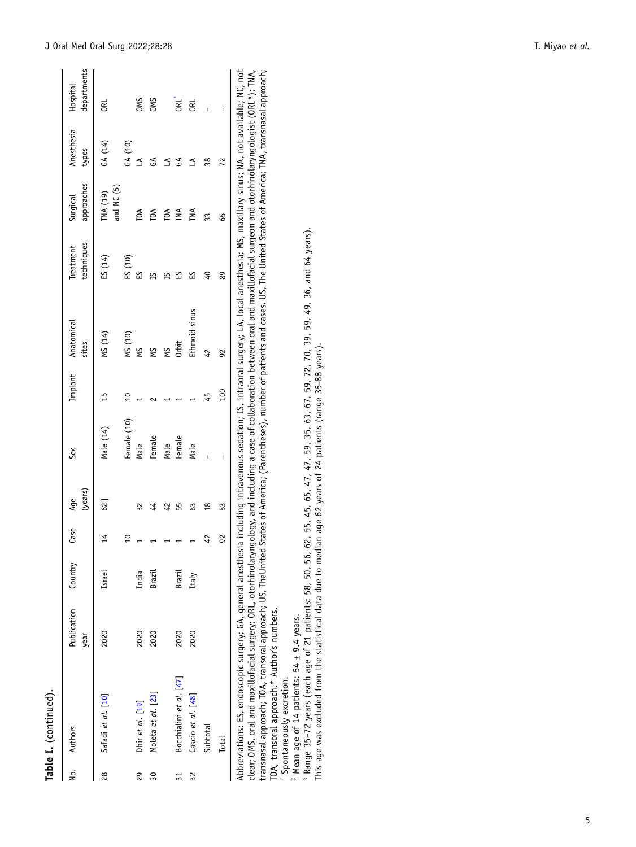<span id="page-4-0"></span>

|                 | No. Authors             | Publication Country<br>year |        | Case                     | (years)<br>Age | Sex         | Implant         | Anatomical<br>sites | techniques<br>Treatment | approaches<br>Surgical | Anesthesia Hospital<br>types | departments |
|-----------------|-------------------------|-----------------------------|--------|--------------------------|----------------|-------------|-----------------|---------------------|-------------------------|------------------------|------------------------------|-------------|
| 28              | Safadi et al. [10]      | 2020                        | Israel | 14                       | 62             | Male (14)   | 15              | MS (14)             | ES(14)                  | and NC (5)<br>TNA (19) | GA (14)                      | <b>BE</b>   |
|                 |                         |                             |        | $\overline{a}$           |                | Female (10) | $\overline{10}$ |                     | ES(10)                  |                        | GA (10)                      |             |
| 29              | Dhir et al. [19]        | 2020                        | India  | $\overline{a}$           | 32             | Male        |                 | MS (10)<br>MS       | ន                       | TOA                    | $\leq$                       | OMS<br>OMS  |
| 30              | Moleta et al. [23]      | 2020                        | Brazil | $\overline{ }$           |                | Female      |                 | ΜS                  |                         | TOA                    | $\mathfrak{S}$               |             |
|                 |                         |                             |        | $\overline{ }$           | 42             | Male        |                 | ΜS                  |                         | <b>PA</b>              | Z                            |             |
| $\overline{31}$ | Bocchialini et al. [47] | 2020                        | Brazil | $\overline{\phantom{0}}$ |                | Female      |                 | Orbit               |                         |                        | $\mathfrak{F}$               | ORL'<br>ORL |
| 32              | Cascio et al. [48]      | 2020                        | Italy  | $\overline{ }$           | 63             | Male        |                 | Ethmoid sinus       | 53                      | TNA                    | ≤                            |             |
|                 | Subtotal                |                             |        | 42                       | $\frac{8}{10}$ |             | 45              | 42                  | $\overline{6}$          | 33                     | 38                           |             |
|                 | <b>Total</b>            |                             |        | 92                       | 53             |             | $^{00}$         | 92                  | 89                      | 65                     | 72                           |             |
|                 |                         |                             |        |                          |                |             |                 |                     |                         |                        |                              |             |

Table I. (continued).

Table I. (continued).

Abbreviations: ES, endoscopic surgery; GA, general anesthesia including intravenous sedation; IS, intraoral surgery; LA, local anesthesia; MS, maxillary sinus; NA, not available; NC, not clear; OMS, oral and maxillofacial surgery; ORL, otorhinolaryngology, and including a case of collaboration between oral and maxillofacial surgeon and otorhinolaryngologist (ORL\*); TNA, transnasal approach; TOA, transoral approach; US, TheUnited States of America; (Parentheses), number of patients and cases. US, The United States of America; TNA, transnasal approach; TOA, transoral approach.\* Author's numbers. Abbreviations: ES, endoscopic surgery; GA, general anesthesia including intravenous sedation; IS, intraoral surgery; LA, local anesthesia; MS, maxillary sinus; NA, not available; NC, not<br>clear; OMS, oral and maxillofacial

Spontaneously excretion.

# Mean age of 14 patients: 54 ± 9.4 years. Mean age of 14 patients: 54 ± 9.4 years.

 $^{\rm i}$  Range 35–72 years (each age of 21 patients: 58, 50, 56, 62, 55, 45, 65, 47, 47, 59, 35, 63, 67, 59, 72, 70, 39, 59, 49, 36, and 64 years).<br>This age was excluded from the statistical data due to median age 62 years Range 35–72 years (each age of 21 patients: 58, 50, 56, 62, 55, 45, 65, 47, 47, 59, 35, 63, 67, 59, 72, 70, 39, 59, 49, 36, and 64 years). This age was excluded from the statistical data due to median age 62 years of 24 patients (range 35-88 years).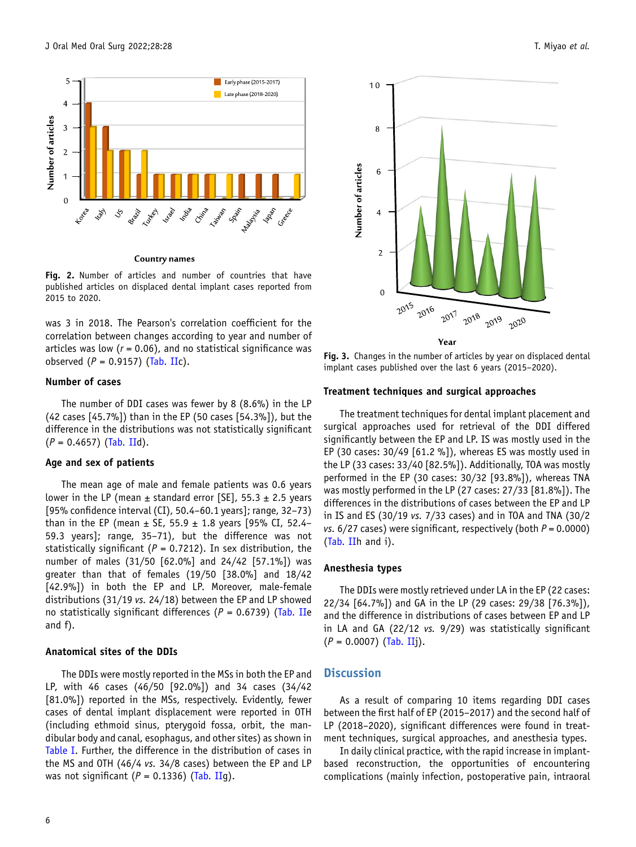<span id="page-5-0"></span>

#### **Country names**



was 3 in 2018. The Pearson's correlation coefficient for the correlation between changes according to year and number of articles was low ( $r = 0.06$ ), and no statistical significance was observed  $(P = 0.9157)$  [\(Tab. II](#page-6-0)c).

#### Number of cases

The number of DDI cases was fewer by 8 (8.6%) in the LP (42 cases [45.7%]) than in the EP (50 cases [54.3%]), but the difference in the distributions was not statistically significant  $(P = 0.4657)$  [\(Tab. II](#page-6-0)d).

#### Age and sex of patients

The mean age of male and female patients was 0.6 years lower in the LP (mean  $\pm$  standard error [SE], 55.3  $\pm$  2.5 years [95% confidence interval (CI), 50.4–60.1 years]; range, 32–73) than in the EP (mean  $\pm$  SE, 55.9  $\pm$  1.8 years [95% CI, 52.4– 59.3 years]; range, 35–71), but the difference was not statistically significant ( $P = 0.7212$ ). In sex distribution, the number of males (31/50 [62.0%] and 24/42 [57.1%]) was greater than that of females (19/50 [38.0%] and 18/42 [42.9%]) in both the EP and LP. Moreover, male-female distributions (31/19 vs. 24/18) between the EP and LP showed no statistically significant differences ( $P = 0.6739$ ) [\(Tab. II](#page-6-0)e and f).

#### Anatomical sites of the DDIs

The DDIs were mostly reported in the MSs in both the EP and LP, with 46 cases (46/50 [92.0%]) and 34 cases (34/42 [81.0%]) reported in the MSs, respectively. Evidently, fewer cases of dental implant displacement were reported in OTH (including ethmoid sinus, pterygoid fossa, orbit, the mandibular body and canal, esophagus, and other sites) as shown in [Table I](#page-3-0). Further, the difference in the distribution of cases in the MS and OTH (46/4 vs. 34/8 cases) between the EP and LP was not significant ( $P = 0.1336$ ) ([Tab. IIg](#page-6-0)).



Year

Fig. 3. Changes in the number of articles by year on displaced dental implant cases published over the last 6 years (2015–2020).

#### Treatment techniques and surgical approaches

The treatment techniques for dental implant placement and surgical approaches used for retrieval of the DDI differed significantly between the EP and LP. IS was mostly used in the EP (30 cases: 30/49 [61.2 %]), whereas ES was mostly used in the LP (33 cases: 33/40 [82.5%]). Additionally, TOA was mostly performed in the EP (30 cases: 30/32 [93.8%]), whereas TNA was mostly performed in the LP (27 cases: 27/33 [81.8%]). The differences in the distributions of cases between the EP and LP in IS and ES (30/19 vs. 7/33 cases) and in TOA and TNA (30/2 vs.  $6/27$  cases) were significant, respectively (both  $P = 0.0000$ ) ([Tab. IIh](#page-6-0) and i).

#### Anesthesia types

The DDIs were mostly retrieved under LA in the EP (22 cases: 22/34 [64.7%]) and GA in the LP (29 cases: 29/38 [76.3%]), and the difference in distributions of cases between EP and LP in LA and GA (22/12 vs. 9/29) was statistically significant  $(P = 0.0007)$  [\(Tab. IIj](#page-6-0)).

## **Discussion**

As a result of comparing 10 items regarding DDI cases between the first half of EP (2015–2017) and the second half of LP (2018–2020), significant differences were found in treatment techniques, surgical approaches, and anesthesia types.

In daily clinical practice, with the rapid increase in implantbased reconstruction, the opportunities of encountering complications (mainly infection, postoperative pain, intraoral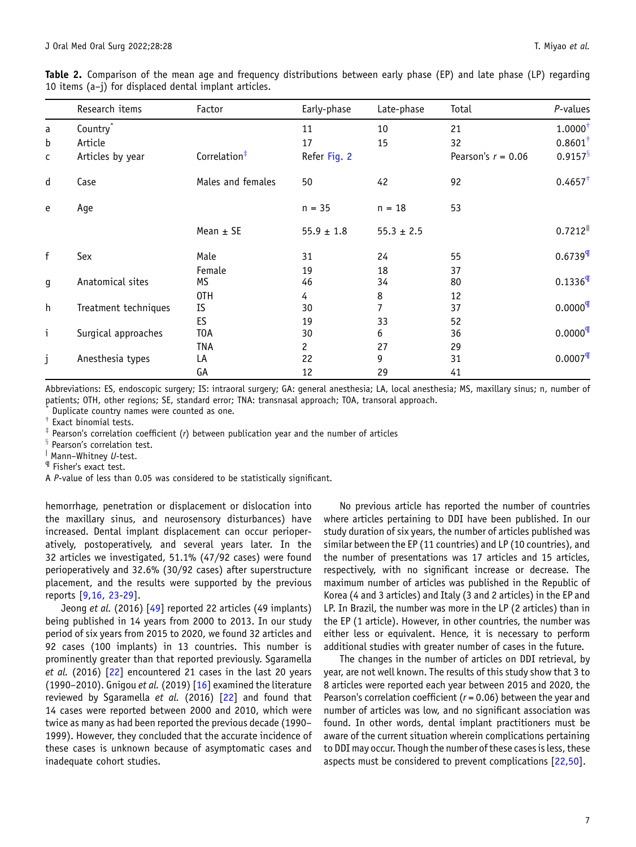<span id="page-6-0"></span>

| Table 2. Comparison of the mean age and frequency distributions between early phase (EP) and late phase (LP) regarding |  |  |  |  |  |  |  |
|------------------------------------------------------------------------------------------------------------------------|--|--|--|--|--|--|--|
| 10 items $(a-j)$ for displaced dental implant articles.                                                                |  |  |  |  |  |  |  |

|              | Research items       | Factor                   | Early-phase          | Late-phase     | Total                | P-values               |
|--------------|----------------------|--------------------------|----------------------|----------------|----------------------|------------------------|
| a            | Country <sup>*</sup> |                          | 11                   | 10             | 21                   | $1.0000^{\dagger}$     |
| b            | Article              |                          | 17                   | 15             | 32                   | $0.8601^{\dagger}$     |
| c            | Articles by year     | Correlation <sup>#</sup> | Refer Fig. 2         |                | Pearson's $r = 0.06$ | $0.9157$ <sup>§</sup>  |
| $\sf d$      | Case                 | Males and females        | 50                   | 42             | 92                   | $0.4657^{\dagger}$     |
| e            | Age                  |                          | $n = 35$             | $n = 18$       | 53                   |                        |
|              |                      | Mean $\pm$ SE            | $55.9 \pm 1.8$       | $55.3 \pm 2.5$ |                      | $0.7212$ <sup>  </sup> |
| f            | Sex                  | Male                     | 31                   | 24             | 55                   | $0.6739$ <sup>T</sup>  |
|              |                      | Female                   | 19                   | 18             | 37                   |                        |
| g            | Anatomical sites     | MS                       | 46                   | 34             | 80                   | $0.1336$ <sup>T</sup>  |
|              |                      | OTH                      | 4                    | 8              | 12                   |                        |
| h            | Treatment techniques | IS                       | 30                   | 7              | 37                   | $0.0000$ <sup>q</sup>  |
|              |                      | ES                       | 19                   | 33             | 52                   |                        |
| $\mathbf{i}$ | Surgical approaches  | T <sub>O</sub> A         | 30                   | 6              | 36                   | $0.0000$ <sup>T</sup>  |
|              |                      | TNA                      | $\mathbf{2}^{\circ}$ | 27             | 29                   |                        |
| j            | Anesthesia types     | LA                       | 22                   | 9              | 31                   | $0.0007$ <sup>T</sup>  |
|              |                      | GА                       | 12                   | 29             | 41                   |                        |

Abbreviations: ES, endoscopic surgery; IS: intraoral surgery; GA: general anesthesia; LA, local anesthesia; MS, maxillary sinus; n, number of patients; OTH, other regions; SE, standard error; TNA: transnasal approach; TOA, transoral approach.

Duplicate country names were counted as one.

Exact binomial tests.

 $*$  Pearson's correlation coefficient (r) between publication year and the number of articles

 $§$  Pearson's correlation test.

| Mann-Whitney U-test.

¶ Fisher's exact test.

A P-value of less than 0.05 was considered to be statistically significant.

hemorrhage, penetration or displacement or dislocation into the maxillary sinus, and neurosensory disturbances) have increased. Dental implant displacement can occur perioperatively, postoperatively, and several years later. In the 32 articles we investigated, 51.1% (47/92 cases) were found perioperatively and 32.6% (30/92 cases) after superstructure placement, and the results were supported by the previous reports [[9,16,](#page-8-0) [23-29](#page-9-0)].

Jeong et al. (2016) [[49\]](#page-9-0) reported 22 articles (49 implants) being published in 14 years from 2000 to 2013. In our study period of six years from 2015 to 2020, we found 32 articles and 92 cases (100 implants) in 13 countries. This number is prominently greater than that reported previously. Sgaramella et al. (2016) [\[22](#page-9-0)] encountered 21 cases in the last 20 years (1990–2010). Gnigou et al. (2019) [\[16](#page-8-0)] examined the literature reviewed by Sgaramella et al. (2016) [\[22](#page-9-0)] and found that 14 cases were reported between 2000 and 2010, which were twice as many as had been reported the previous decade (1990– 1999). However, they concluded that the accurate incidence of these cases is unknown because of asymptomatic cases and inadequate cohort studies.

No previous article has reported the number of countries where articles pertaining to DDI have been published. In our study duration of six years, the number of articles published was similar between the EP (11 countries) and LP (10 countries), and the number of presentations was 17 articles and 15 articles, respectively, with no significant increase or decrease. The maximum number of articles was published in the Republic of Korea (4 and 3 articles) and Italy (3 and 2 articles) in the EP and LP. In Brazil, the number was more in the LP (2 articles) than in the EP (1 article). However, in other countries, the number was either less or equivalent. Hence, it is necessary to perform additional studies with greater number of cases in the future.

The changes in the number of articles on DDI retrieval, by year, are not well known. The results of this study show that 3 to 8 articles were reported each year between 2015 and 2020, the Pearson's correlation coefficient ( $r = 0.06$ ) between the year and number of articles was low, and no significant association was found. In other words, dental implant practitioners must be aware of the current situation wherein complications pertaining to DDI may occur. Though the number of these cases is less, these aspects must be considered to prevent complications [[22,50](#page-9-0)].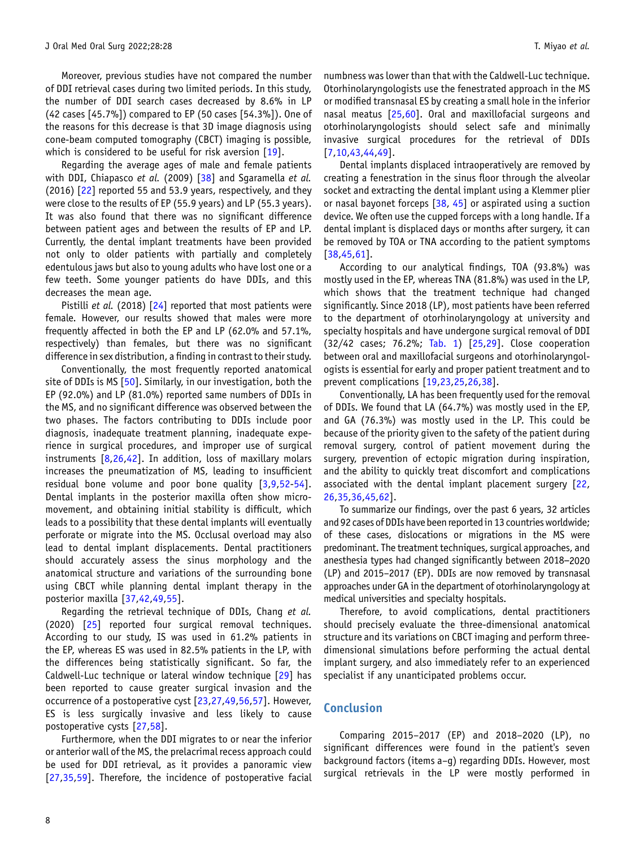Moreover, previous studies have not compared the number of DDI retrieval cases during two limited periods. In this study, the number of DDI search cases decreased by 8.6% in LP (42 cases [45.7%]) compared to EP (50 cases [54.3%]). One of the reasons for this decrease is that 3D image diagnosis using cone-beam computed tomography (CBCT) imaging is possible, which is considered to be useful for risk aversion [\[19](#page-8-0)].

Regarding the average ages of male and female patients with DDI, Chiapasco et al. (2009) [\[38](#page-9-0)] and Sgaramella et al. (2016) [\[22](#page-9-0)] reported 55 and 53.9 years, respectively, and they were close to the results of EP (55.9 years) and LP (55.3 years). It was also found that there was no significant difference between patient ages and between the results of EP and LP. Currently, the dental implant treatments have been provided not only to older patients with partially and completely edentulous jaws but also to young adults who have lost one or a few teeth. Some younger patients do have DDIs, and this decreases the mean age.

Pistilli et al. (2018) [\[24](#page-9-0)] reported that most patients were female. However, our results showed that males were more frequently affected in both the EP and LP (62.0% and 57.1%, respectively) than females, but there was no significant difference in sex distribution, a finding in contrast to their study.

Conventionally, the most frequently reported anatomical site of DDIs is MS [[50](#page-9-0)]. Similarly, in our investigation, both the EP (92.0%) and LP (81.0%) reported same numbers of DDIs in the MS, and no significant difference was observed between the two phases. The factors contributing to DDIs include poor diagnosis, inadequate treatment planning, inadequate experience in surgical procedures, and improper use of surgical instruments  $[8,26,42]$  $[8,26,42]$  $[8,26,42]$ . In addition, loss of maxillary molars increases the pneumatization of MS, leading to insufficient residual bone volume and poor bone quality [\[3](#page-8-0),[9,](#page-8-0)[52-54](#page-9-0)]. Dental implants in the posterior maxilla often show micromovement, and obtaining initial stability is difficult, which leads to a possibility that these dental implants will eventually perforate or migrate into the MS. Occlusal overload may also lead to dental implant displacements. Dental practitioners should accurately assess the sinus morphology and the anatomical structure and variations of the surrounding bone using CBCT while planning dental implant therapy in the posterior maxilla [\[37,42,49,55](#page-9-0)].

Regarding the retrieval technique of DDIs, Chang et al. (2020) [\[25](#page-9-0)] reported four surgical removal techniques. According to our study, IS was used in 61.2% patients in the EP, whereas ES was used in 82.5% patients in the LP, with the differences being statistically significant. So far, the Caldwell-Luc technique or lateral window technique [\[29](#page-9-0)] has been reported to cause greater surgical invasion and the occurrence of a postoperative cyst [\[23](#page-9-0),[27,49,56,57\]](#page-9-0). However, ES is less surgically invasive and less likely to cause postoperative cysts [[27,](#page-9-0)[58\]](#page-10-0).

Furthermore, when the DDI migrates to or near the inferior or anterior wall of the MS, the prelacrimal recess approach could be used for DDI retrieval, as it provides a panoramic view [\[27,35](#page-9-0),[59\]](#page-10-0). Therefore, the incidence of postoperative facial

numbness was lower than that with the Caldwell-Luc technique. Otorhinolaryngologists use the fenestrated approach in the MS or modified transnasal ES by creating a small hole in the inferior nasal meatus [[25,](#page-9-0)[60\]](#page-10-0). Oral and maxillofacial surgeons and otorhinolaryngologists should select safe and minimally invasive surgical procedures for the retrieval of DDIs [[7,10,](#page-8-0)[43,44,49\]](#page-9-0).

Dental implants displaced intraoperatively are removed by creating a fenestration in the sinus floor through the alveolar socket and extracting the dental implant using a Klemmer plier or nasal bayonet forceps [\[38](#page-9-0), [45](#page-9-0)] or aspirated using a suction device. We often use the cupped forceps with a long handle. If a dental implant is displaced days or months after surgery, it can be removed by TOA or TNA according to the patient symptoms [[38,45,](#page-9-0)[61\]](#page-10-0).

According to our analytical findings, TOA (93.8%) was mostly used in the EP, whereas TNA (81.8%) was used in the LP, which shows that the treatment technique had changed significantly. Since 2018 (LP), most patients have been referred to the department of otorhinolaryngology at university and specialty hospitals and have undergone surgical removal of DDI (32/42 cases; 76.2%; [Tab. 1](#page-3-0)) [[25,29\]](#page-9-0). Close cooperation between oral and maxillofacial surgeons and otorhinolaryngologists is essential for early and proper patient treatment and to prevent complications [\[19](#page-8-0)[,23,25,26,38](#page-9-0)].

Conventionally, LA has been frequently used for the removal of DDIs. We found that LA (64.7%) was mostly used in the EP, and GA (76.3%) was mostly used in the LP. This could be because of the priority given to the safety of the patient during removal surgery, control of patient movement during the surgery, prevention of ectopic migration during inspiration, and the ability to quickly treat discomfort and complications associated with the dental implant placement surgery [[22,](#page-9-0) [26,35,36,45,](#page-9-0)[62\]](#page-10-0).

To summarize our findings, over the past 6 years, 32 articles and 92 cases of DDIs have been reported in 13 countries worldwide; and 92 cases or DDIS nave been reported in 15 countries wortdwide;<br>of these cases, dislocations or migrations in the MS were<br>predominant. The treatment techniques, surgical approaches, and<br>anesthesia types had changed sig predominant. The treatment techniques, surgical approaches, and (LP) and 2015–2017 (EP). DDIs are now removed by transnasal approaches under GA in the department of otorhinolaryngology at medical universities and specialty hospitals.

Therefore, to avoid complications, dental practitioners should precisely evaluate the three-dimensional anatomical structure and its variations on CBCT imaging and perform threedimensional simulations before performing the actual dental implant surgery, and also immediately refer to an experienced specialist if any unanticipated problems occur.

## Conclusion

Comparing 2015–2017 (EP) and 2018–2020 (LP), no significant differences were found in the patient's seven background factors (items a–g) regarding DDIs. However, most surgical retrievals in the LP were mostly performed in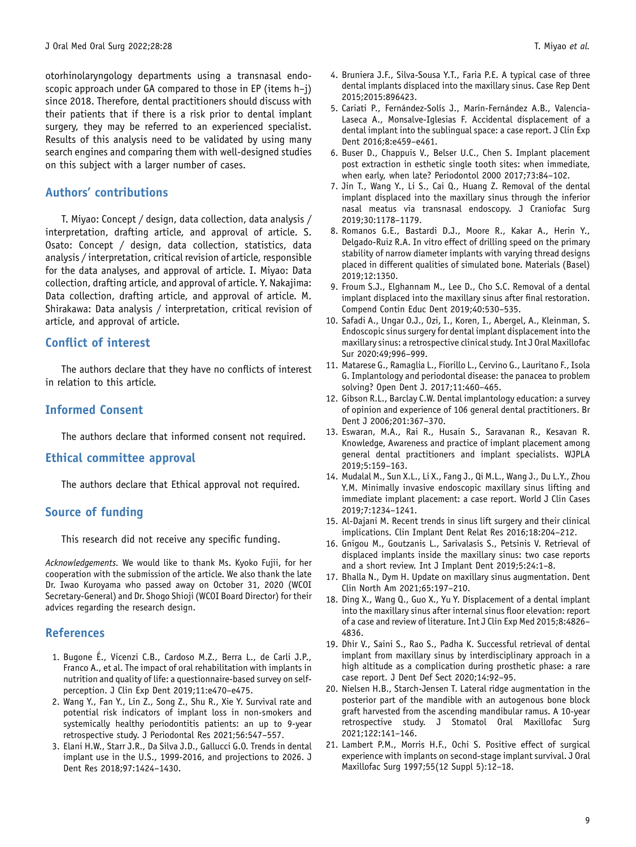<span id="page-8-0"></span>otorhinolaryngology departments using a transnasal endoscopic approach under GA compared to those in EP (items h–j) since 2018. Therefore, dental practitioners should discuss with their patients that if there is a risk prior to dental implant surgery, they may be referred to an experienced specialist. Results of this analysis need to be validated by using many search engines and comparing them with well-designed studies on this subject with a larger number of cases.

## Authors' contributions

T. Miyao: Concept / design, data collection, data analysis / interpretation, drafting article, and approval of article. S. Osato: Concept / design, data collection, statistics, data analysis / interpretation, critical revision of article, responsible for the data analyses, and approval of article. I. Miyao: Data collection, drafting article, and approval of article. Y. Nakajima: Data collection, drafting article, and approval of article. M. Shirakawa: Data analysis / interpretation, critical revision of article, and approval of article.

## Conflict of interest

The authors declare that they have no conflicts of interest in relation to this article.

## Informed Consent

The authors declare that informed consent not required.

## Ethical committee approval

The authors declare that Ethical approval not required.

## Source of funding

This research did not receive any specific funding.

Acknowledgements. We would like to thank Ms. Kyoko Fujii, for her cooperation with the submission of the article. We also thank the late Dr. Iwao Kuroyama who passed away on October 31, 2020 (WCOI Secretary-General) and Dr. Shogo Shioji (WCOI Board Director) for their advices regarding the research design.

## References

- 1. Bugone É., Vicenzi C.B., Cardoso M.Z., Berra L., de Carli J.P., Franco A., et al. The impact of oral rehabilitation with implants in nutrition and quality of life: a questionnaire-based survey on selfperception. J Clin Exp Dent 2019;11:e470–e475.
- 2. Wang Y., Fan Y., Lin Z., Song Z., Shu R., Xie Y. Survival rate and potential risk indicators of implant loss in non-smokers and systemically healthy periodontitis patients: an up to 9-year retrospective study. J Periodontal Res 2021;56:547–557.
- 3. Elani H.W., Starr J.R., Da Silva J.D., Gallucci G.O. Trends in dental implant use in the U.S., 1999-2016, and projections to 2026. J Dent Res 2018;97:1424–1430.
- 4. Bruniera J.F., Silva-Sousa Y.T., Faria P.E. A typical case of three dental implants displaced into the maxillary sinus. Case Rep Dent 2015;2015:896423.
- 5. Cariati P., Fernández-Solís J., Marín-Fernández A.B., Valencia-Laseca A., Monsalve-Iglesias F. Accidental displacement of a dental implant into the sublingual space: a case report. J Clin Exp Dent 2016;8:e459–e461.
- 6. Buser D., Chappuis V., Belser U.C., Chen S. Implant placement post extraction in esthetic single tooth sites: when immediate, when early, when late? Periodontol 2000 2017;73:84–102.
- 7. Jin T., Wang Y., Li S., Cai Q., Huang Z. Removal of the dental implant displaced into the maxillary sinus through the inferior nasal meatus via transnasal endoscopy. J Craniofac Surg 2019;30:1178–1179.
- 8. Romanos G.E., Bastardi D.J., Moore R., Kakar A., Herin Y., Delgado-Ruiz R.A. In vitro effect of drilling speed on the primary stability of narrow diameter implants with varying thread designs placed in different qualities of simulated bone. Materials (Basel) 2019;12:1350.
- 9. Froum S.J., Elghannam M., Lee D., Cho S.C. Removal of a dental implant displaced into the maxillary sinus after final restoration. Compend Contin Educ Dent 2019;40:530–535.
- 10. Safadi A., Ungar O.J., Ozi, I., Koren, I., Abergel, A., Kleinman, S. Endoscopic sinus surgery for dental implant displacement into the maxillary sinus: a retrospective clinical study. Int J Oral Maxillofac Sur 2020:49;996–999.
- 11. Matarese G., Ramaglia L., Fiorillo L., Cervino G., Lauritano F., Isola G. Implantology and periodontal disease: the panacea to problem solving? Open Dent J. 2017;11:460–465.
- 12. Gibson R.L., Barclay C.W. Dental implantology education: a survey of opinion and experience of 106 general dental practitioners. Br Dent J 2006;201:367–370.
- 13. Eswaran, M.A., Rai R., Husain S., Saravanan R., Kesavan R. Knowledge, Awareness and practice of implant placement among general dental practitioners and implant specialists. WJPLA 2019;5:159–163.
- 14. Mudalal M., Sun X.L., Li X., Fang J., Qi M.L., Wang J., Du L.Y., Zhou Y.M. Minimally invasive endoscopic maxillary sinus lifting and immediate implant placement: a case report. World J Clin Cases 2019;7:1234–1241.
- 15. Al-Dajani M. Recent trends in sinus lift surgery and their clinical implications. Clin Implant Dent Relat Res 2016;18:204–212.
- 16. Gnigou M., Goutzanis L., Sarivalasis S., Petsinis V. Retrieval of displaced implants inside the maxillary sinus: two case reports and a short review. Int J Implant Dent 2019;5:24:1–8.
- 17. Bhalla N., Dym H. Update on maxillary sinus augmentation. Dent Clin North Am 2021;65:197–210.
- 18. Ding X., Wang Q., Guo X., Yu Y. Displacement of a dental implant into the maxillary sinus after internal sinus floor elevation: report of a case and review of literature. Int J Clin Exp Med 2015;8:4826– 4836.
- 19. Dhir V., Saini S., Rao S., Padha K. Successful retrieval of dental implant from maxillary sinus by interdisciplinary approach in a high altitude as a complication during prosthetic phase: a rare case report. J Dent Def Sect 2020;14:92–95.
- 20. Nielsen H.B., Starch-Jensen T. Lateral ridge augmentation in the posterior part of the mandible with an autogenous bone block graft harvested from the ascending mandibular ramus. A 10-year retrospective study. J Stomatol Oral Maxillofac Surg 2021;122:141–146.
- 21. Lambert P.M., Morris H.F., Ochi S. Positive effect of surgical experience with implants on second-stage implant survival. J Oral Maxillofac Surg 1997;55(12 Suppl 5):12–18.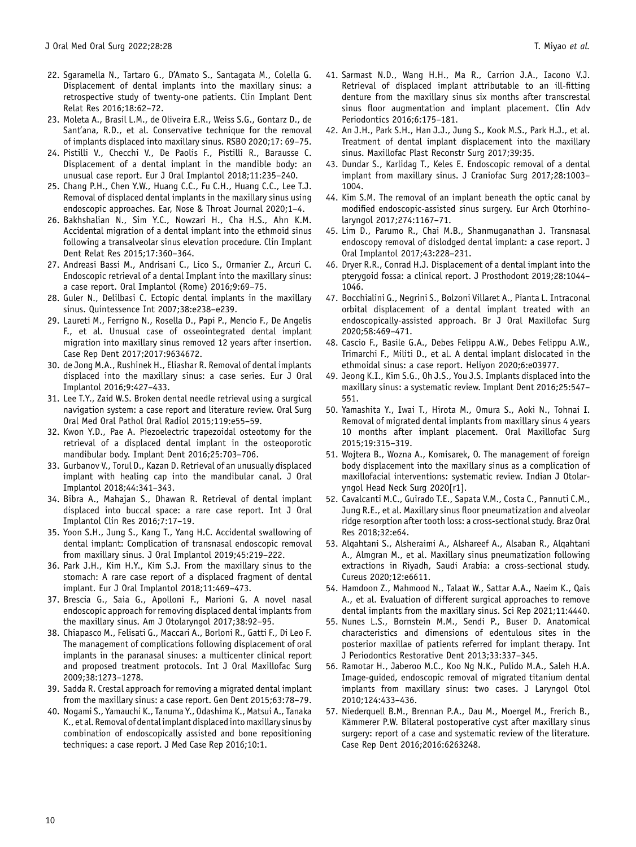- <span id="page-9-0"></span>22. Sgaramella N., Tartaro G., D'Amato S., Santagata M., Colella G. Displacement of dental implants into the maxillary sinus: a retrospective study of twenty-one patients. Clin Implant Dent Relat Res 2016;18:62–72.
- 23. Moleta A., Brasil L.M., de Oliveira E.R., Weiss S.G., Gontarz D., de Sant'ana, R.D., et al. Conservative technique for the removal of implants displaced into maxillary sinus. RSBO 2020;17: 69–75.
- 24. Pistilli V., Checchi V., De Paolis F., Pistilli R., Barausse C. Displacement of a dental implant in the mandible body: an unusual case report. Eur J Oral Implantol 2018;11:235–240.
- 25. Chang P.H., Chen Y.W., Huang C.C., Fu C.H., Huang C.C., Lee T.J. Removal of displaced dental implants in the maxillary sinus using endoscopic approaches. Ear, Nose & Throat Journal 2020;1–4.
- 26. Bakhshalian N., Sim Y.C., Nowzari H., Cha H.S., Ahn K.M. Accidental migration of a dental implant into the ethmoid sinus following a transalveolar sinus elevation procedure. Clin Implant Dent Relat Res 2015;17:360–364.
- 27. Andreasi Bassi M., Andrisani C., Lico S., Ormanier Z., Arcuri C. Endoscopic retrieval of a dental Implant into the maxillary sinus: a case report. Oral Implantol (Rome) 2016;9:69–75.
- 28. Guler N., Delilbasi C. Ectopic dental implants in the maxillary sinus. Quintessence Int 2007;38:e238–e239.
- 29. Laureti M., Ferrigno N., Rosella D., Papi P., Mencio F., De Angelis F., et al. Unusual case of osseointegrated dental implant migration into maxillary sinus removed 12 years after insertion. Case Rep Dent 2017;2017:9634672.
- 30. de Jong M.A., Rushinek H., Eliashar R. Removal of dental implants displaced into the maxillary sinus: a case series. Eur J Oral Implantol 2016;9:427–433.
- 31. Lee T.Y., Zaid W.S. Broken dental needle retrieval using a surgical navigation system: a case report and literature review. Oral Surg Oral Med Oral Pathol Oral Radiol 2015;119:e55–59.
- 32. Kwon Y.D., Pae A. Piezoelectric trapezoidal osteotomy for the retrieval of a displaced dental implant in the osteoporotic mandibular body. Implant Dent 2016;25:703–706.
- 33. Gurbanov V., Torul D., Kazan D. Retrieval of an unusually displaced implant with healing cap into the mandibular canal. J Oral Implantol 2018;44:341–343.
- 34. Bibra A., Mahajan S., Dhawan R. Retrieval of dental implant displaced into buccal space: a rare case report. Int J Oral Implantol Clin Res 2016;7:17–19.
- 35. Yoon S.H., Jung S., Kang T., Yang H.C. Accidental swallowing of dental implant: Complication of transnasal endoscopic removal from maxillary sinus. J Oral Implantol 2019;45:219–222.
- 36. Park J.H., Kim H.Y., Kim S.J. From the maxillary sinus to the stomach: A rare case report of a displaced fragment of dental implant. Eur J Oral Implantol 2018;11:469–473.
- 37. Brescia G., Saia G., Apolloni F., Marioni G. A novel nasal endoscopic approach for removing displaced dental implants from the maxillary sinus. Am J Otolaryngol 2017;38:92–95.
- 38. Chiapasco M., Felisati G., Maccari A., Borloni R., Gatti F., Di Leo F. The management of complications following displacement of oral implants in the paranasal sinuses: a multicenter clinical report and proposed treatment protocols. Int J Oral Maxillofac Surg 2009;38:1273–1278.
- 39. Sadda R. Crestal approach for removing a migrated dental implant from the maxillary sinus: a case report. Gen Dent 2015;63:78–79.
- 40. Nogami S., Yamauchi K., Tanuma Y., Odashima K., Matsui A., Tanaka K., et al. Removal of dentalimplant displacedinto maxillary sinus by combination of endoscopically assisted and bone repositioning techniques: a case report. J Med Case Rep 2016;10:1.
- 41. Sarmast N.D., Wang H.H., Ma R., Carrion J.A., Iacono V.J. Retrieval of displaced implant attributable to an ill-fitting denture from the maxillary sinus six months after transcrestal sinus floor augmentation and implant placement. Clin Adv Periodontics 2016;6:175–181.
- 42. An J.H., Park S.H., Han J.J., Jung S., Kook M.S., Park H.J., et al. Treatment of dental implant displacement into the maxillary sinus. Maxillofac Plast Reconstr Surg 2017;39:35.
- 43. Dundar S., Karlidag T., Keles E. Endoscopic removal of a dental implant from maxillary sinus. J Craniofac Surg 2017;28:1003– 1004.
- 44. Kim S.M. The removal of an implant beneath the optic canal by modified endoscopic-assisted sinus surgery. Eur Arch Otorhinolaryngol 2017;274:1167–71.
- 45. Lim D., Parumo R., Chai M.B., Shanmuganathan J. Transnasal endoscopy removal of dislodged dental implant: a case report. J Oral Implantol 2017;43:228–231.
- 46. Dryer R.R., Conrad H.J. Displacement of a dental implant into the pterygoid fossa: a clinical report. J Prosthodont 2019;28:1044– 1046.
- 47. Bocchialini G., Negrini S., Bolzoni Villaret A., Pianta L. Intraconal orbital displacement of a dental implant treated with an endoscopically-assisted approach. Br J Oral Maxillofac Surg 2020;58:469–471.
- 48. Cascio F., Basile G.A., Debes Felippu A.W., Debes Felippu A.W., Trimarchi F., Militi D., et al. A dental implant dislocated in the ethmoidal sinus: a case report. Heliyon 2020;6:e03977.
- 49. Jeong K.I., Kim S.G., Oh J.S., You J.S. Implants displaced into the maxillary sinus: a systematic review. Implant Dent 2016;25:547– 551.
- 50. Yamashita Y., Iwai T., Hirota M., Omura S., Aoki N., Tohnai I. Removal of migrated dental implants from maxillary sinus 4 years 10 months after implant placement. Oral Maxillofac Surg 2015;19:315–319.
- 51. Wojtera B., Wozna A., Komisarek, O. The management of foreign body displacement into the maxillary sinus as a complication of maxillofacial interventions: systematic review. Indian J Otolaryngol Head Neck Surg 2020[r1].
- 52. Cavalcanti M.C., Guirado T.E., Sapata V.M., Costa C., Pannuti C.M., Jung R.E., et al. Maxillary sinus floor pneumatization and alveolar ridge resorption after tooth loss: a cross-sectional study. Braz Oral Res 2018;32:e64.
- 53. Alqahtani S., Alsheraimi A., Alshareef A., Alsaban R., Alqahtani A., Almgran M., et al. Maxillary sinus pneumatization following extractions in Riyadh, Saudi Arabia: a cross-sectional study. Cureus 2020;12:e6611.
- 54. Hamdoon Z., Mahmood N., Talaat W., Sattar A.A., Naeim K., Qais A., et al. Evaluation of different surgical approaches to remove dental implants from the maxillary sinus. Sci Rep 2021;11:4440.
- 55. Nunes L.S., Bornstein M.M., Sendi P., Buser D. Anatomical characteristics and dimensions of edentulous sites in the posterior maxillae of patients referred for implant therapy. Int J Periodontics Restorative Dent 2013;33:337–345.
- 56. Ramotar H., Jaberoo M.C., Koo Ng N.K., Pulido M.A., Saleh H.A. Image-guided, endoscopic removal of migrated titanium dental implants from maxillary sinus: two cases. J Laryngol Otol 2010;124:433–436.
- 57. Niederquell B.M., Brennan P.A., Dau M., Moergel M., Frerich B., Kämmerer P.W. Bilateral postoperative cyst after maxillary sinus surgery: report of a case and systematic review of the literature. Case Rep Dent 2016;2016:6263248.